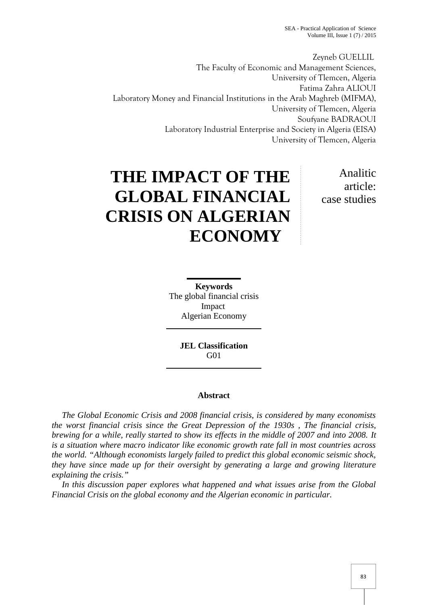Zeyneb GUELLIL The Faculty of Economic and Management Sciences, University of Tlemcen, Algeria Fatima Zahra ALIOUI Laboratory Money and Financial Institutions in the Arab Maghreb (MIFMA), University of Tlemcen, Algeria Soufyane BADRAOUI Laboratory Industrial Enterprise and Society in Algeria (EISA) University of Tlemcen, Algeria

# **THE IMPACT OF THE GLOBAL FINANCIAL CRISIS ON ALGERIAN ECONOMY**

Analitic article: case studies

**Keywords** The global financial crisis Impact Algerian Economy

> **JEL Classification** G01

### **Abstract**

*The Global Economic Crisis and 2008 financial crisis, is considered by many economists the worst financial crisis since the Great Depression of the 1930s , The financial crisis, brewing for a while, really started to show its effects in the middle of 2007 and into 2008. It is a situation where macro indicator like economic growth rate fall in most countries across the world. "Although economists largely failed to predict this global economic seismic shock, they have since made up for their oversight by generating a large and growing literature explaining the crisis."*

*In this discussion paper explores what happened and what issues arise from the Global Financial Crisis on the global economy and the Algerian economic in particular.*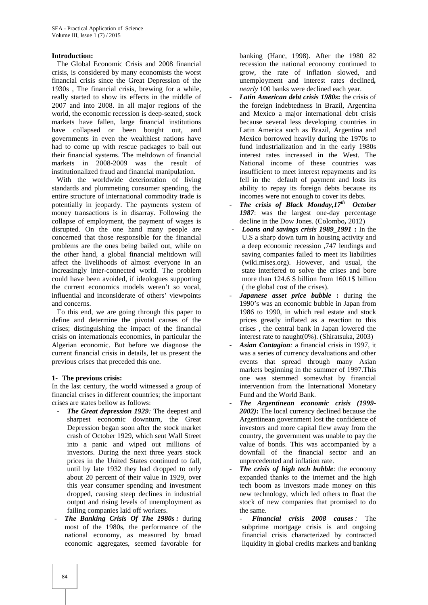#### **Introduction:**

The Global Economic Crisis and 2008 financial crisis, is considered by many economists the worst financial crisis since the Great Depression of the 1930s , The financial crisis, brewing for a while, really started to show its effects in the middle of 2007 and into 2008. In all major regions of the world, the economic recession is deep-seated, stock markets have fallen, large financial institutions have collapsed or been bought out, and governments in even the wealthiest nations have had to come up with rescue packages to bail out their financial systems. The meltdown of financial markets in 2008-2009 was the result of institutionalized fraud and financial manipulation.

With the worldwide deterioration of living standards and plummeting consumer spending, the entire structure of international commodity trade is potentially in jeopardy. The payments system of money transactions is in disarray. Following the collapse of employment, the payment of wages is disrupted. On the one hand many people are concerned that those responsible for the financial problems are the ones being bailed out, while on the other hand, a global financial meltdown will affect the livelihoods of almost everyone in an increasingly inter-connected world. The problem could have been avoided, if ideologues supporting the current economics models weren't so vocal, influential and inconsiderate of others' viewpoints and concerns.

To this end, we are going through this paper to define and determine the pivotal causes of the crises; distinguishing the impact of the financial crisis on internationals economics, in particular the Algerian economic. But before we diagnose the current financial crisis in details, let us present the previous crises that preceded this one.

#### **1- The previous crisis:**

In the last century, the world witnessed a group of financial crises in different countries; the important crises are states bellow as follows:

- *The Great depression 1929*: The deepest and sharpest economic downturn, the Great Depression began soon after the stock market crash of October 1929, which sent Wall Street into a panic and wiped out millions of investors. During the next three years stock prices in the United States continued to fall, until by late 1932 they had dropped to only about 20 percent of their value in 1929, over this year consumer spending and investment dropped, causing steep declines in industrial output and rising levels of unemployment as failing companies laid off workers.
- *- The Banking Crisis Of The 1980s :* during most of the 1980s, the performance of the national economy, as measured by broad economic aggregates, seemed favorable for

banking (Hanc, 1998). After the 1980 82 recession the national economy continued to grow, the rate of inflation slowed, and unemployment and interest rates declined*, nearly* 100 banks were declined each year.

- *- Latin American debt crisis 1980s***:** the crisis of the foreign indebtedness in Brazil, Argentina and Mexico a major international debt crisis because several less developing countries in Latin America such as Brazil, Argentina and Mexico borrowed heavily during the 1970s to fund industrialization and in the early 1980s interest rates increased in the West. The National income of these countries was insufficient to meet interest repayments and its fell in the default of payment and losts its ability to repay its foreign debts because its incomes were not enough to cover its debts.
- *- The crisis of Black Monday,17th October 1987*: was the largest one-day percentage decline in the Dow Jones. (Colombo**,** 2012)
- *- Loans and savings crisis 1989\_1991* **:** In the U.S a sharp down turn in housing activity and a deep economic recession ,747 lendings and saving companies failed to meet its liabilities (wiki.mises.org). However, and usual, the state interfered to solve the crises and bore more than 124.6 \$ billion from 160.1\$ billion ( the global cost of the crises).
- *- Japanese asset price bubble* **:** during the 1990's was an economic bubble in Japan from 1986 to 1990, in which real estate and stock prices greatly inflated as a reaction to this crises , the central bank in Japan lowered the interest rate to naught(0%). (Shiratsuka, 2003)
- *- Asian Contagion:* a financial crisis in 1997, it was a series of currency devaluations and other events that spread through many Asian markets beginning in the summer of 1997.This one was stemmed somewhat by financial intervention from the International Monetary Fund and the World Bank.
- *- The Argentinean economic crisis (1999- 2002)***:** The local currency declined because the Argentinean government lost the confidence of investors and more capital flew away from the country, the government was unable to pay the value of bonds. This was accompanied by a downfall of the financial sector and an unprecedented and inflation rate.
- *The crisis of high tech bubble: the economy* expanded thanks to the internet and the high tech boom as investors made money on this new technology, which led others to float the stock of new companies that promised to do the same.
	- *- Financial crisis 2008 causes :* The subprime mortgage crisis is and ongoing financial crisis characterized by contracted liquidity in global credits markets and banking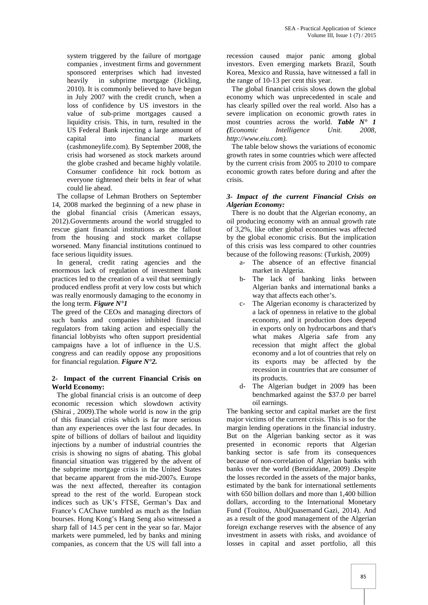system triggered by the failure of mortgage companies , investment firms and government sponsored enterprises which had invested heavily in subprime mortgage (Jickling, 2010). It is commonly believed to have begun in July 2007 with the credit crunch, when a loss of confidence by US investors in the value of sub-prime mortgages caused a liquidity crisis. This, in turn, resulted in the US Federal Bank injecting a large amount of capital into financial markets (cashmoneylife.com). By September 2008, the crisis had worsened as stock markets around the globe crashed and became highly volatile. Consumer confidence hit rock bottom as everyone tightened their belts in fear of what could lie ahead.

The collapse of Lehman Brothers on September 14, 2008 marked the beginning of a new phase in the global financial crisis (American essays, 2012).Governments around the world struggled to rescue giant financial institutions as the fallout from the housing and stock market collapse worsened. Many financial institutions continued to face serious liquidity issues.

In general, credit rating agencies and the enormous lack of regulation of investment bank practices led to the creation of a veil that seemingly produced endless profit at very low costs but which was really enormously damaging to the economy in the long term. *Figure N°1*

The greed of the CEOs and managing directors of such banks and companies inhibited financial regulators from taking action and especially the financial lobbyists who often support presidential campaigns have a lot of influence in the U.S. congress and can readily oppose any propositions for financial regulation. *Figure N°2.*

#### **2- Impact of the current Financial Crisis on World Economy:**

The global financial crisis is an outcome of deep economic recession which slowdown activity (Shirai , 2009).The whole world is now in the grip of this financial crisis which is far more serious than any experiences over the last four decades. In spite of billions of dollars of bailout and liquidity injections by a number of industrial countries the crisis is showing no signs of abating. This global financial situation was triggered by the advent of the subprime mortgage crisis in the United States that became apparent from the mid-2007s. Europe was the next affected, thereafter its contagion spread to the rest of the world. European stock indices such as UK's FTSE, German's Dax and France's CAChave tumbled as much as the Indian bourses. Hong Kong's Hang Seng also witnessed a sharp fall of 14.5 per cent in the year so far. Major markets were pummeled, led by banks and mining companies, as concern that the US will fall into a

recession caused major panic among global investors. Even emerging markets Brazil, South Korea, Mexico and Russia, have witnessed a fall in the range of 10-13 per cent this year.

The global financial crisis slows down the global economy which was unprecedented in scale and has clearly spilled over the real world. Also has a severe implication on economic growth rates in most countries across the world. *Table N° 1 (Economic Intelligence Unit. 2008, http://www.eiu.com).*

The table below shows the variations of economic growth rates in some countries which were affected by the current crisis from 2005 to 2010 to compare economic growth rates before during and after the crisis.

#### *3- Impact of the current Financial Crisis on Algerian Economy:*

There is no doubt that the Algerian economy, an oil producing economy with an annual growth rate of 3,2%, like other global economies was affected by the global economic crisis. But the implication of this crisis was less compared to other countries because of the following reasons: (Turkish, 2009)

- a- The absence of an effective financial market in Algeria.
- b- The lack of banking links between Algerian banks and international banks a way that affects each other's.
- c- The Algerian economy is characterized by a lack of openness in relative to the global economy, and it production does depend in exports only on hydrocarbons and that's what makes Algeria safe from any recession that might affect the global economy and a lot of countries that rely on its exports may be affected by the recession in countries that are consumer of its products.
- d- The Algerian budget in 2009 has been benchmarked against the \$37.0 per barrel oil earnings.

The banking sector and capital market are the first major victims of the current crisis. This is so for the margin lending operations in the financial industry. But on the Algerian banking sector as it was presented in economic reports that Algerian banking sector is safe from its consequences because of non-correlation of Algerian banks with banks over the world (Benziddane, 2009) .Despite the losses recorded in the assets of the major banks, estimated by the bank for international settlements with 650 billion dollars and more than 1,400 billion dollars, according to the International Monetary Fund (Touitou, AbulQuasemand Gazi, 2014). And as a result of the good management of the Algerian foreign exchange reserves with the absence of any investment in assets with risks, and avoidance of losses in capital and asset portfolio, all this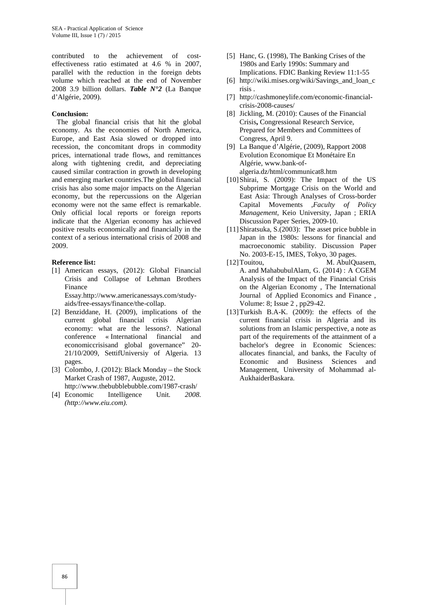contributed to the achievement of cost effectiveness ratio estimated at 4.6 % in 2007, parallel with the reduction in the foreign debts volume which reached at the end of November 2008 3.9 billion dollars. *Table N°2* (La Banque d'Algérie, 2009).

#### **Conclusion:**

The global financial crisis that hit the global economy. As the economies of North America, Europe, and East Asia slowed or dropped into recession, the concomitant drops in commodity prices, international trade flows, and remittances along with tightening credit, and depreciating caused similar contraction in growth in developing and emerging market countries.The global financial crisis has also some major impacts on the Algerian economy, but the repercussions on the Algerian economy were not the same effect is remarkable. Only official local reports or foreign reports indicate that the Algerian economy has achieved positive results economically and financially in the context of a serious international crisis of 2008 and 2009.

#### **Reference list:**

- [1] American essays, (2012): Global Financial Crisis and Collapse of Lehman Brothers Finance Essay.http://www.americanessays.com/study aids/free-essays/finance/the-collap.
- [2] Benziddane, H. (2009), implications of the current global financial crisis Algerian economy: what are the lessons?. National conference « International financial and economiccrisisand global governance" 20- 21/10/2009, SettifUniversiy of Algeria. 13 pages.
- [3] Colombo, J. (2012): Black Monday the Stock Market Crash of 1987, Auguste, 2012. http://www.thebubblebubble.com/1987-crash/
- [4] Economic Intelligence Unit*. 2008. (http://www.eiu.com).*
- [5] Hanc, G. (1998), The Banking Crises of the 1980s and Early 1990s: Summary and Implications. FDIC Banking Review 11:1-55
- [6] http://wiki.mises.org/wiki/Savings\_and\_loan\_c risis .
- [7] http://cashmoneylife.com/economic-financial crisis-2008-causes/
- [8] Jickling, M. (2010): Causes of the Financial Crisis**,** Congressional Research Service, Prepared for Members and Committees of Congress, April 9.
- [9] La Banque d'Algérie, (2009), Rapport 2008 Evolution Economique Et Monétaire En Algérie, www.bank-of algeria.dz/html/communicat8.htm
- [10]Shirai, S. (2009): The Impact of the US Subprime Mortgage Crisis on the World and East Asia: Through Analyses of Cross-border Capital Movements ,*Faculty of Policy Management*, Keio University, Japan ; ERIA Discussion Paper Series, 2009-10.
- [11] Shiratsuka, S.(2003): The asset price bubble in Japan in the 1980s: lessons for financial and macroeconomic stability. Discussion Paper No. 2003-E-15, IMES, Tokyo, 30 pages.
- [12] Touitou, M. AbulQuasem, A. and MahabubulAlam, G. (2014) : A CGEM Analysis of the Impact of the Financial Crisis on the Algerian Economy , The International Journal of Applied Economics and Finance , Volume: 8; Issue 2 , pp29-42.
- [13]Turkish B.A-K. (2009): the effects of the current financial crisis in Algeria and its solutions from an Islamic perspective, a note as part of the requirements of the attainment of a bachelor's degree in Economic Sciences: allocates financial, and banks, the Faculty of Economic and Business Sciences and Management, University of Mohammad al- AukhaiderBaskara.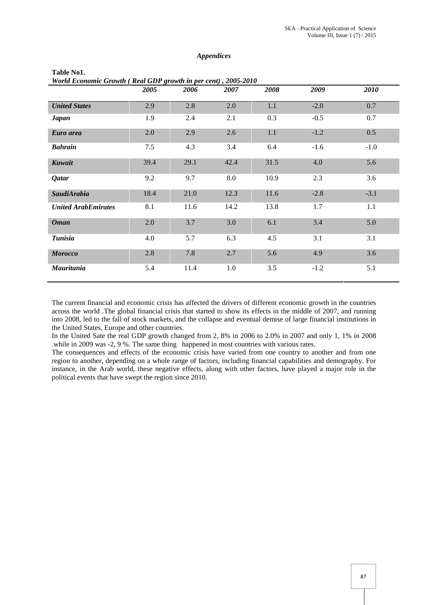#### *Appendices*

| World Economic Growth (Real GDP growth in per cent), 2005-2010 |      |      |      |      |        |        |
|----------------------------------------------------------------|------|------|------|------|--------|--------|
|                                                                | 2005 | 2006 | 2007 | 2008 | 2009   | 2010   |
| <b>United States</b>                                           | 2.9  | 2.8  | 2.0  | 1.1  | $-2.0$ | 0.7    |
| <b>Japan</b>                                                   | 1.9  | 2.4  | 2.1  | 0.3  | $-0.5$ | 0.7    |
| Euro area                                                      | 2.0  | 2.9  | 2.6  | 1.1  | $-1.2$ | 0.5    |
| <b>Bahrain</b>                                                 | 7.5  | 4.3  | 3.4  | 6.4  | $-1.6$ | $-1.0$ |
| Kuwait                                                         | 39.4 | 29.1 | 42.4 | 31.5 | 4.0    | 5.6    |
| <b>Qatar</b>                                                   | 9.2  | 9.7  | 8.0  | 10.9 | 2.3    | 3.6    |
| SaudiArabia                                                    | 18.4 | 21.0 | 12.3 | 11.6 | $-2.8$ | $-3.1$ |
| <b>United ArabEmirates</b>                                     | 8.1  | 11.6 | 14.2 | 13.8 | 1.7    | 1.1    |
| <b>Oman</b>                                                    | 2.0  | 3.7  | 3.0  | 6.1  | 3.4    | 5.0    |
| <b>Tunisia</b>                                                 | 4.0  | 5.7  | 6.3  | 4.5  | 3.1    | 3.1    |
| <b>Morocco</b>                                                 | 2.8  | 7.8  | 2.7  | 5.6  | 4.9    | 3.6    |
| <b>Mauritania</b>                                              | 5.4  | 11.4 | 1.0  | 3.5  | $-1.2$ | 5.1    |

**Table No1.**

The current financial and economic crisis has affected the drivers of different economic growth in the countries across the world .The global financial crisis that started to show its effects in the middle of 2007, and running into 2008, led to the fall of stock markets, and the collapse and eventual demise of large financial institutions in the United States, Europe and other countries.

In the United Sate the real GDP growth changed from 2, 8% in 2006 to 2.0% in 2007 and only 1, 1% in 2008 .while in 2009 was -2, 9 %. The same thing happened in most countries with various rates.

The consequences and effects of the economic crisis have varied from one country to another and from one region to another, depending on a whole range of factors, including financial capabilities and demography. For instance, in the Arab world, these negative effects, along with other factors, have played a major role in the political events that have swept the region since 2010.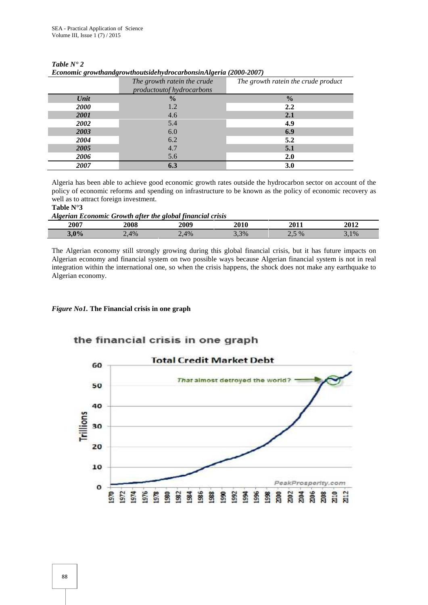|             | The growth ratein the crude<br>productoutof hydrocarbons | The growth ratein the crude product |
|-------------|----------------------------------------------------------|-------------------------------------|
| Unit        | $\frac{0}{0}$                                            | $\frac{0}{0}$                       |
| <b>2000</b> | 1.2                                                      | 2.2                                 |
| 2001        | 4.6                                                      | 2.1                                 |
| 2002        | 5.4                                                      | 4.9                                 |
| 2003        | 6.0                                                      | 6.9                                 |
| 2004        | 6.2                                                      | 5.2                                 |
| 2005        | 4.7                                                      | 5.1                                 |
| 2006        | 5.6                                                      | 2.0                                 |
| 2007        | 6.3                                                      | 3.0                                 |

*Table N° 2 Economic growthandgrowthoutsidehydrocarbonsinAlgeria (2000-2007)*

Algeria has been able to achieve good economic growth rates outside the hydrocarbon sector on account of the policy of economic reforms and spending on infrastructure to be known as the policy of economic recovery as well as to attract foreign investment.

#### **Table N°3**

*Algerian Economic Growth after the global financial crisis*

| 2007 | 2008 | 2009                   |      | 2011 | 2012   |
|------|------|------------------------|------|------|--------|
| 3,0% | 2,4% | $\Lambda$ <sub>0</sub> | 3.3% | $\%$ | $,1\%$ |

The Algerian economy still strongly growing during this global financial crisis, but it has future impacts on Algerian economy and financial system on two possible ways because Algerian financial system is not in real integration within the international one, so when the crisis happens, the shock does not make any earthquake to Algerian economy.

#### *Figure No1.* **The Financial crisis in one graph**

## the financial crisis in one graph

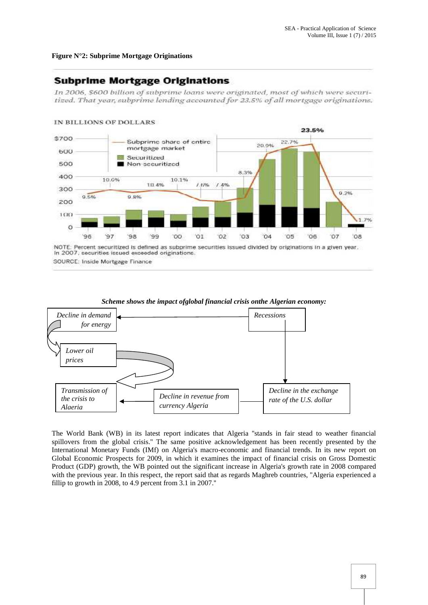#### **Figure N°2: Subprime Mortgage Originations**

## **Subprime Mortgage Originations**

In 2006, \$600 billion of subprime loans were originated, most of which were securitized. That year, subprime lending accounted for 23.5% of all mortgage originations.



SOURCE: Inside Mortgage Finance



*Scheme shows the impact ofglobal financial crisis onthe Algerian economy:*

The World Bank (WB) in its latest report indicates that Algeria ''stands in fair stead to weather financial spillovers from the global crisis.'' The same positive acknowledgement has been recently presented by the International Monetary Funds (IMf) on Algeria's macro-economic and financial trends. In its new report on Global Economic Prospects for 2009, in which it examines the impact of financial crisis on Gross Domestic Product (GDP) growth, the WB pointed out the significant increase in Algeria's growth rate in 2008 compared with the previous year. In this respect, the report said that as regards Maghreb countries, ''Algeria experienced a fillip to growth in 2008, to 4.9 percent from 3.1 in 2007.''